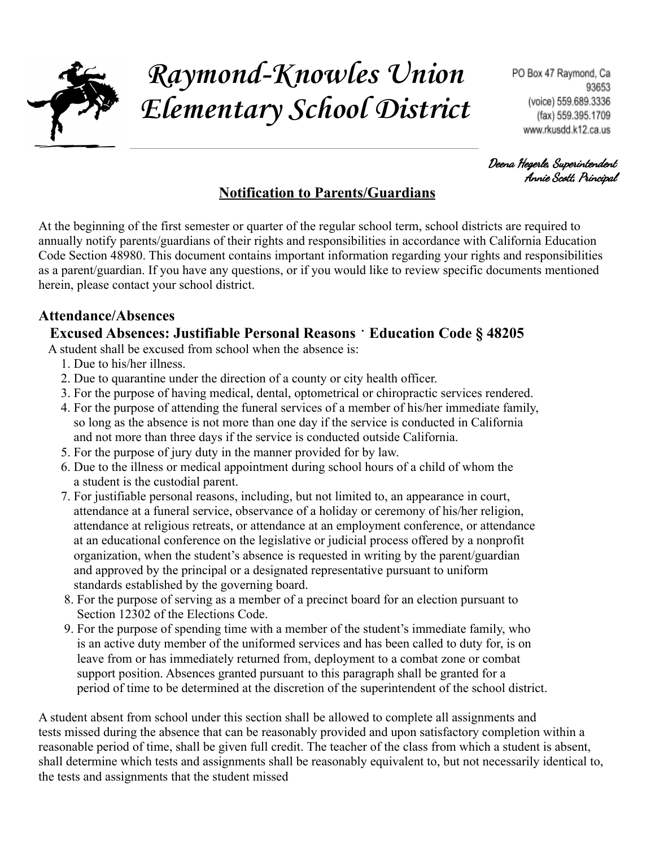

# **Raymond-Knowles Union Elementary School District**

Deena Hegerle, Superintendent Annie Scott, Principal

# **Notification to Parents/Guardians**

At the beginning of the first semester or quarter of the regular school term, school districts are required to annually notify parents/guardians of their rights and responsibilities in accordance with California Education Code Section 48980. This document contains important information regarding your rights and responsibilities as a parent/guardian. If you have any questions, or if you would like to review specific documents mentioned herein, please contact your school district.

#### **Attendance/Absences**

#### **Excused Absences: Justifiable Personal Reasons** ⠂**Education Code § 48205**

A student shall be excused from school when the absence is:

- 1. Due to his/her illness.
- 2. Due to quarantine under the direction of a county or city health officer.
- 3. For the purpose of having medical, dental, optometrical or chiropractic services rendered.
- 4. For the purpose of attending the funeral services of a member of his/her immediate family, so long as the absence is not more than one day if the service is conducted in California and not more than three days if the service is conducted outside California.
- 5. For the purpose of jury duty in the manner provided for by law.
- 6. Due to the illness or medical appointment during school hours of a child of whom the a student is the custodial parent.
- 7. For justifiable personal reasons, including, but not limited to, an appearance in court, attendance at a funeral service, observance of a holiday or ceremony of his/her religion, attendance at religious retreats, or attendance at an employment conference, or attendance at an educational conference on the legislative or judicial process offered by a nonprofit organization, when the student's absence is requested in writing by the parent/guardian and approved by the principal or a designated representative pursuant to uniform standards established by the governing board.
- 8. For the purpose of serving as a member of a precinct board for an election pursuant to Section 12302 of the Elections Code.
- 9. For the purpose of spending time with a member of the student's immediate family, who is an active duty member of the uniformed services and has been called to duty for, is on leave from or has immediately returned from, deployment to a combat zone or combat support position. Absences granted pursuant to this paragraph shall be granted for a period of time to be determined at the discretion of the superintendent of the school district.

A student absent from school under this section shall be allowed to complete all assignments and tests missed during the absence that can be reasonably provided and upon satisfactory completion within a reasonable period of time, shall be given full credit. The teacher of the class from which a student is absent, shall determine which tests and assignments shall be reasonably equivalent to, but not necessarily identical to, the tests and assignments that the student missed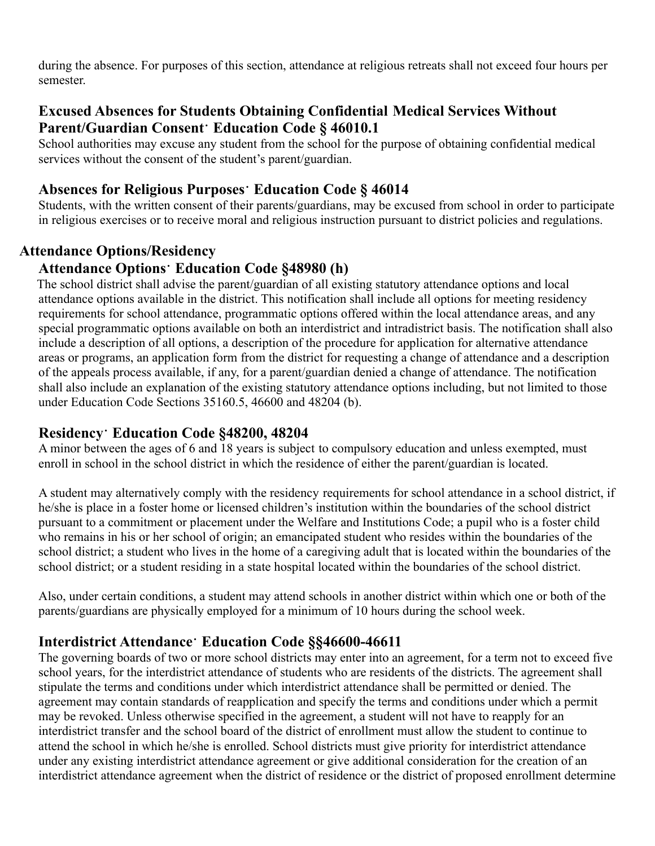during the absence. For purposes of this section, attendance at religious retreats shall not exceed four hours per semester.

#### **Excused Absences for Students Obtaining Confidential Medical Services Without Parent/Guardian Consent**⠂**Education Code § 46010.1**

School authorities may excuse any student from the school for the purpose of obtaining confidential medical services without the consent of the student's parent/guardian.

#### **Absences for Religious Purposes**⠂**Education Code § 46014**

Students, with the written consent of their parents/guardians, may be excused from school in order to participate in religious exercises or to receive moral and religious instruction pursuant to district policies and regulations.

#### **Attendance Options/Residency**

#### **Attendance Options**⠂**Education Code §48980 (h)**

The school district shall advise the parent/guardian of all existing statutory attendance options and local attendance options available in the district. This notification shall include all options for meeting residency requirements for school attendance, programmatic options offered within the local attendance areas, and any special programmatic options available on both an interdistrict and intradistrict basis. The notification shall also include a description of all options, a description of the procedure for application for alternative attendance areas or programs, an application form from the district for requesting a change of attendance and a description of the appeals process available, if any, for a parent/guardian denied a change of attendance. The notification shall also include an explanation of the existing statutory attendance options including, but not limited to those under Education Code Sections 35160.5, 46600 and 48204 (b).

#### **Residency**⠂**Education Code §48200, 48204**

A minor between the ages of 6 and 18 years is subject to compulsory education and unless exempted, must enroll in school in the school district in which the residence of either the parent/guardian is located.

A student may alternatively comply with the residency requirements for school attendance in a school district, if he/she is place in a foster home or licensed children's institution within the boundaries of the school district pursuant to a commitment or placement under the Welfare and Institutions Code; a pupil who is a foster child who remains in his or her school of origin; an emancipated student who resides within the boundaries of the school district; a student who lives in the home of a caregiving adult that is located within the boundaries of the school district; or a student residing in a state hospital located within the boundaries of the school district.

Also, under certain conditions, a student may attend schools in another district within which one or both of the parents/guardians are physically employed for a minimum of 10 hours during the school week.

#### **Interdistrict Attendance**⠂**Education Code §§46600-46611**

The governing boards of two or more school districts may enter into an agreement, for a term not to exceed five school years, for the interdistrict attendance of students who are residents of the districts. The agreement shall stipulate the terms and conditions under which interdistrict attendance shall be permitted or denied. The agreement may contain standards of reapplication and specify the terms and conditions under which a permit may be revoked. Unless otherwise specified in the agreement, a student will not have to reapply for an interdistrict transfer and the school board of the district of enrollment must allow the student to continue to attend the school in which he/she is enrolled. School districts must give priority for interdistrict attendance under any existing interdistrict attendance agreement or give additional consideration for the creation of an interdistrict attendance agreement when the district of residence or the district of proposed enrollment determine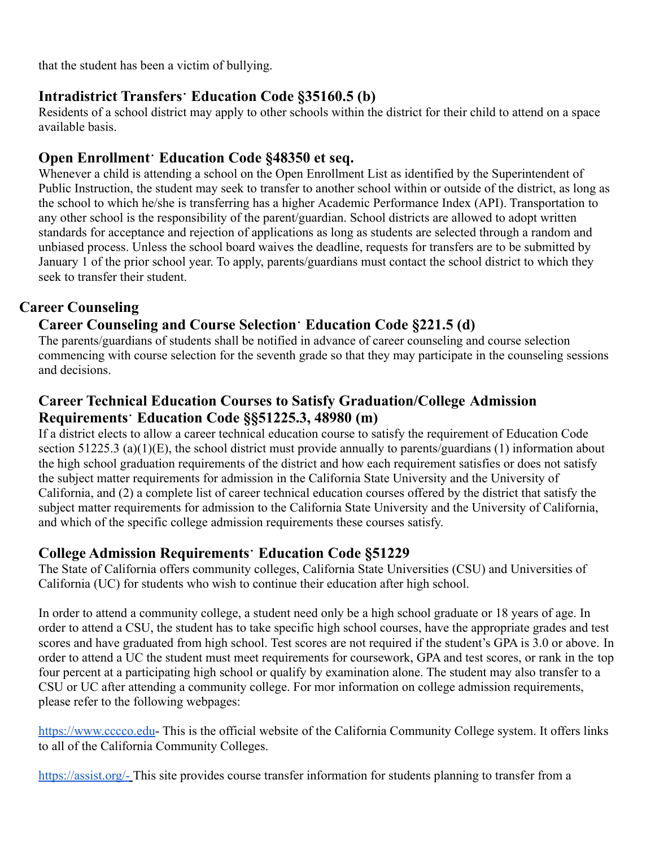that the student has been a victim of bullying.

# **Intradistrict Transfers**⠂**Education Code §35160.5 (b)**

Residents of a school district may apply to other schools within the district for their child to attend on a space available basis.

# **Open Enrollment**⠂**Education Code §48350 et seq.**

Whenever a child is attending a school on the Open Enrollment List as identified by the Superintendent of Public Instruction, the student may seek to transfer to another school within or outside of the district, as long as the school to which he/she is transferring has a higher Academic Performance Index (API). Transportation to any other school is the responsibility of the parent/guardian. School districts are allowed to adopt written standards for acceptance and rejection of applications as long as students are selected through a random and unbiased process. Unless the school board waives the deadline, requests for transfers are to be submitted by January 1 of the prior school year. To apply, parents/guardians must contact the school district to which they seek to transfer their student.

# **Career Counseling**

# **Career Counseling and Course Selection**⠂**Education Code §221.5 (d)**

The parents/guardians of students shall be notified in advance of career counseling and course selection commencing with course selection for the seventh grade so that they may participate in the counseling sessions and decisions.

# **Career Technical Education Courses to Satisfy Graduation/College Admission Requirements**⠂**Education Code §§51225.3, 48980 (m)**

If a district elects to allow a career technical education course to satisfy the requirement of Education Code section 51225.3 (a)(1)(E), the school district must provide annually to parents/guardians (1) information about the high school graduation requirements of the district and how each requirement satisfies or does not satisfy the subject matter requirements for admission in the California State University and the University of California, and (2) a complete list of career technical education courses offered by the district that satisfy the subject matter requirements for admission to the California State University and the University of California, and which of the specific college admission requirements these courses satisfy.

# **College Admission Requirements**⠂**Education Code §51229**

The State of California offers community colleges, California State Universities (CSU) and Universities of California (UC) for students who wish to continue their education after high school.

In order to attend a community college, a student need only be a high school graduate or 18 years of age. In order to attend a CSU, the student has to take specific high school courses, have the appropriate grades and test scores and have graduated from high school. Test scores are not required if the student's GPA is 3.0 or above. In order to attend a UC the student must meet requirements for coursework, GPA and test scores, or rank in the top four percent at a participating high school or qualify by examination alone. The student may also transfer to a CSU or UC after attending a community college. For mor information on college admission requirements, please refer to the following webpages:

<https://www.cccco.edu>- This is the official website of the California Community College system. It offers links to all of the California Community Colleges.

<https://assist.org/-> This site provides course transfer information for students planning to transfer from a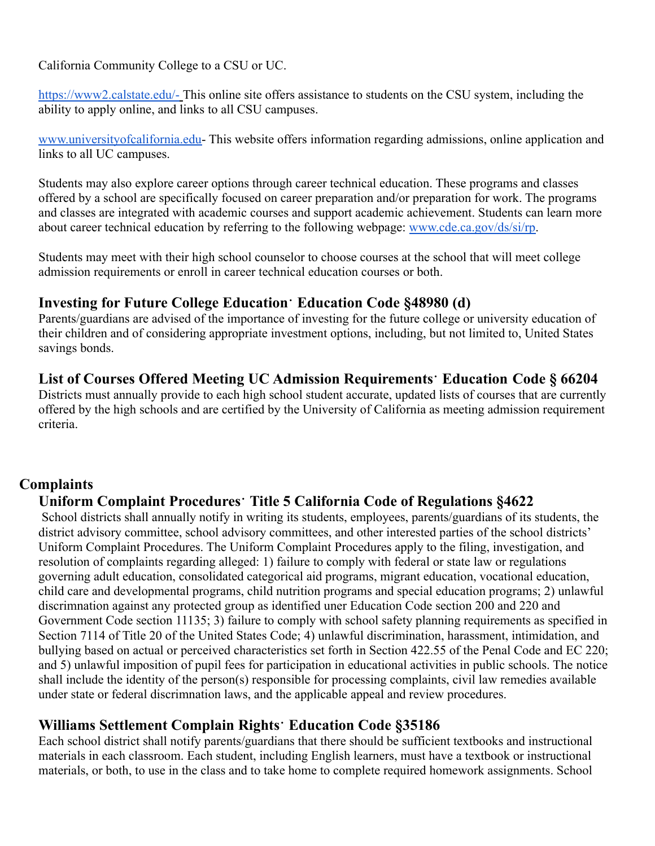California Community College to a CSU or UC.

<https://www2.calstate.edu/-> This online site offers assistance to students on the CSU system, including the ability to apply online, and links to all CSU campuses.

[www.universityofcalifornia.edu-](http://www.universityofcalifornia.edu) This website offers information regarding admissions, online application and links to all UC campuses.

Students may also explore career options through career technical education. These programs and classes offered by a school are specifically focused on career preparation and/or preparation for work. The programs and classes are integrated with academic courses and support academic achievement. Students can learn more about career technical education by referring to the following webpage: [www.cde.ca.gov/ds/si/rp.](http://www.cde.ca.gov/ds/si/rp)

Students may meet with their high school counselor to choose courses at the school that will meet college admission requirements or enroll in career technical education courses or both.

#### **Investing for Future College Education**⠂**Education Code §48980 (d)**

Parents/guardians are advised of the importance of investing for the future college or university education of their children and of considering appropriate investment options, including, but not limited to, United States savings bonds.

# **List of Courses Offered Meeting UC Admission Requirements**⠂**Education Code § 66204**

Districts must annually provide to each high school student accurate, updated lists of courses that are currently offered by the high schools and are certified by the University of California as meeting admission requirement criteria.

#### **Complaints**

# **Uniform Complaint Procedures**⠂**Title 5 California Code of Regulations §4622**

School districts shall annually notify in writing its students, employees, parents/guardians of its students, the district advisory committee, school advisory committees, and other interested parties of the school districts' Uniform Complaint Procedures. The Uniform Complaint Procedures apply to the filing, investigation, and resolution of complaints regarding alleged: 1) failure to comply with federal or state law or regulations governing adult education, consolidated categorical aid programs, migrant education, vocational education, child care and developmental programs, child nutrition programs and special education programs; 2) unlawful discrimnation against any protected group as identified uner Education Code section 200 and 220 and Government Code section 11135; 3) failure to comply with school safety planning requirements as specified in Section 7114 of Title 20 of the United States Code; 4) unlawful discrimination, harassment, intimidation, and bullying based on actual or perceived characteristics set forth in Section 422.55 of the Penal Code and EC 220; and 5) unlawful imposition of pupil fees for participation in educational activities in public schools. The notice shall include the identity of the person(s) responsible for processing complaints, civil law remedies available under state or federal discrimnation laws, and the applicable appeal and review procedures.

# **Williams Settlement Complain Rights**⠂**Education Code §35186**

Each school district shall notify parents/guardians that there should be sufficient textbooks and instructional materials in each classroom. Each student, including English learners, must have a textbook or instructional materials, or both, to use in the class and to take home to complete required homework assignments. School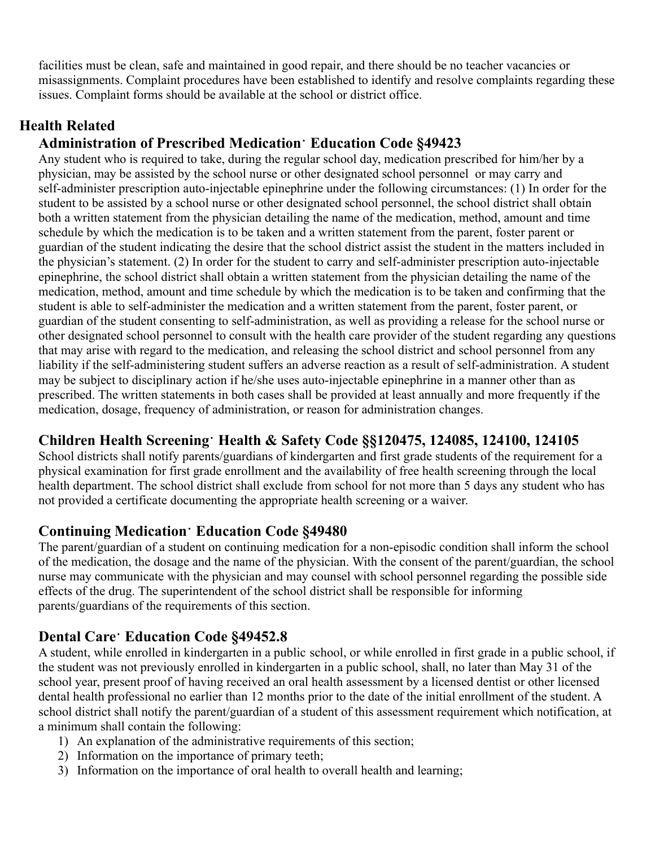facilities must be clean, safe and maintained in good repair, and there should be no teacher vacancies or misassignments. Complaint procedures have been established to identify and resolve complaints regarding these issues. Complaint forms should be available at the school or district office.

# **Health Related**

# **Administration of Prescribed Medication**⠂**Education Code §49423**

Any student who is required to take, during the regular school day, medication prescribed for him/her by a physician, may be assisted by the school nurse or other designated school personnel or may carry and self-administer prescription auto-injectable epinephrine under the following circumstances: (1) In order for the student to be assisted by a school nurse or other designated school personnel, the school district shall obtain both a written statement from the physician detailing the name of the medication, method, amount and time schedule by which the medication is to be taken and a written statement from the parent, foster parent or guardian of the student indicating the desire that the school district assist the student in the matters included in the physician's statement. (2) In order for the student to carry and self-administer prescription auto-injectable epinephrine, the school district shall obtain a written statement from the physician detailing the name of the medication, method, amount and time schedule by which the medication is to be taken and confirming that the student is able to self-administer the medication and a written statement from the parent, foster parent, or guardian of the student consenting to self-administration, as well as providing a release for the school nurse or other designated school personnel to consult with the health care provider of the student regarding any questions that may arise with regard to the medication, and releasing the school district and school personnel from any liability if the self-administering student suffers an adverse reaction as a result of self-administration. A student may be subject to disciplinary action if he/she uses auto-injectable epinephrine in a manner other than as prescribed. The written statements in both cases shall be provided at least annually and more frequently if the medication, dosage, frequency of administration, or reason for administration changes.

# **Children Health Screening**⠂**Health & Safety Code §§120475, 124085, 124100, 124105**

School districts shall notify parents/guardians of kindergarten and first grade students of the requirement for a physical examination for first grade enrollment and the availability of free health screening through the local health department. The school district shall exclude from school for not more than 5 days any student who has not provided a certificate documenting the appropriate health screening or a waiver.

# **Continuing Medication**⠂**Education Code §49480**

The parent/guardian of a student on continuing medication for a non-episodic condition shall inform the school of the medication, the dosage and the name of the physician. With the consent of the parent/guardian, the school nurse may communicate with the physician and may counsel with school personnel regarding the possible side effects of the drug. The superintendent of the school district shall be responsible for informing parents/guardians of the requirements of this section.

# **Dental Care**⠂**Education Code §49452.8**

A student, while enrolled in kindergarten in a public school, or while enrolled in first grade in a public school, if the student was not previously enrolled in kindergarten in a public school, shall, no later than May 31 of the school year, present proof of having received an oral health assessment by a licensed dentist or other licensed dental health professional no earlier than 12 months prior to the date of the initial enrollment of the student. A school district shall notify the parent/guardian of a student of this assessment requirement which notification, at a minimum shall contain the following:

- 1) An explanation of the administrative requirements of this section;
- 2) Information on the importance of primary teeth;
- 3) Information on the importance of oral health to overall health and learning;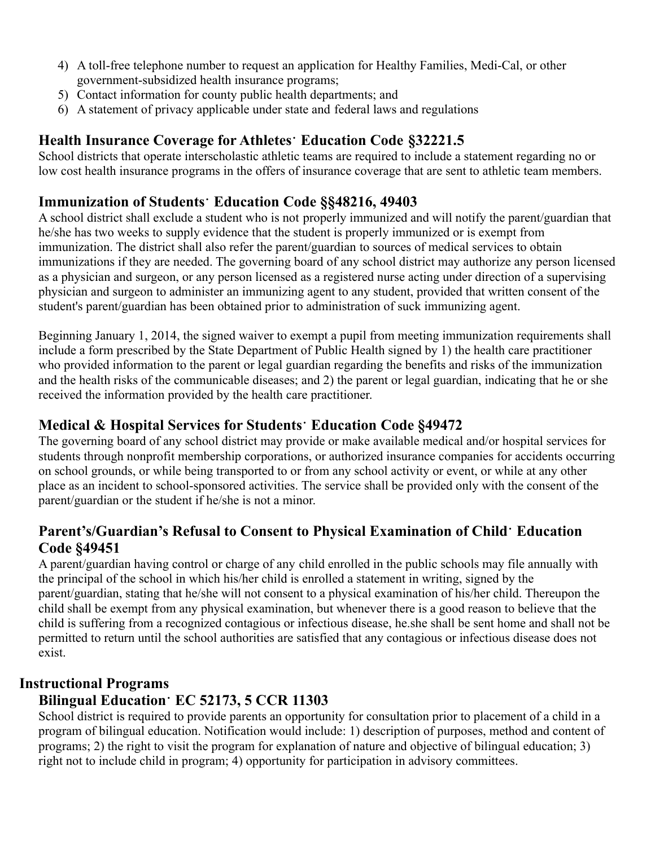- 4) A toll-free telephone number to request an application for Healthy Families, Medi-Cal, or other government-subsidized health insurance programs;
- 5) Contact information for county public health departments; and
- 6) A statement of privacy applicable under state and federal laws and regulations

# **Health Insurance Coverage for Athletes**⠂**Education Code §32221.5**

School districts that operate interscholastic athletic teams are required to include a statement regarding no or low cost health insurance programs in the offers of insurance coverage that are sent to athletic team members.

# **Immunization of Students**⠂**Education Code §§48216, 49403**

A school district shall exclude a student who is not properly immunized and will notify the parent/guardian that he/she has two weeks to supply evidence that the student is properly immunized or is exempt from immunization. The district shall also refer the parent/guardian to sources of medical services to obtain immunizations if they are needed. The governing board of any school district may authorize any person licensed as a physician and surgeon, or any person licensed as a registered nurse acting under direction of a supervising physician and surgeon to administer an immunizing agent to any student, provided that written consent of the student's parent/guardian has been obtained prior to administration of suck immunizing agent.

Beginning January 1, 2014, the signed waiver to exempt a pupil from meeting immunization requirements shall include a form prescribed by the State Department of Public Health signed by 1) the health care practitioner who provided information to the parent or legal guardian regarding the benefits and risks of the immunization and the health risks of the communicable diseases; and 2) the parent or legal guardian, indicating that he or she received the information provided by the health care practitioner.

# **Medical & Hospital Services for Students**⠂**Education Code §49472**

The governing board of any school district may provide or make available medical and/or hospital services for students through nonprofit membership corporations, or authorized insurance companies for accidents occurring on school grounds, or while being transported to or from any school activity or event, or while at any other place as an incident to school-sponsored activities. The service shall be provided only with the consent of the parent/guardian or the student if he/she is not a minor.

# **Parent's/Guardian's Refusal to Consent to Physical Examination of Child**⠂**Education Code §49451**

A parent/guardian having control or charge of any child enrolled in the public schools may file annually with the principal of the school in which his/her child is enrolled a statement in writing, signed by the parent/guardian, stating that he/she will not consent to a physical examination of his/her child. Thereupon the child shall be exempt from any physical examination, but whenever there is a good reason to believe that the child is suffering from a recognized contagious or infectious disease, he.she shall be sent home and shall not be permitted to return until the school authorities are satisfied that any contagious or infectious disease does not exist.

# **Instructional Programs**

# **Bilingual Education**⠂**EC 52173, 5 CCR 11303**

School district is required to provide parents an opportunity for consultation prior to placement of a child in a program of bilingual education. Notification would include: 1) description of purposes, method and content of programs; 2) the right to visit the program for explanation of nature and objective of bilingual education; 3) right not to include child in program; 4) opportunity for participation in advisory committees.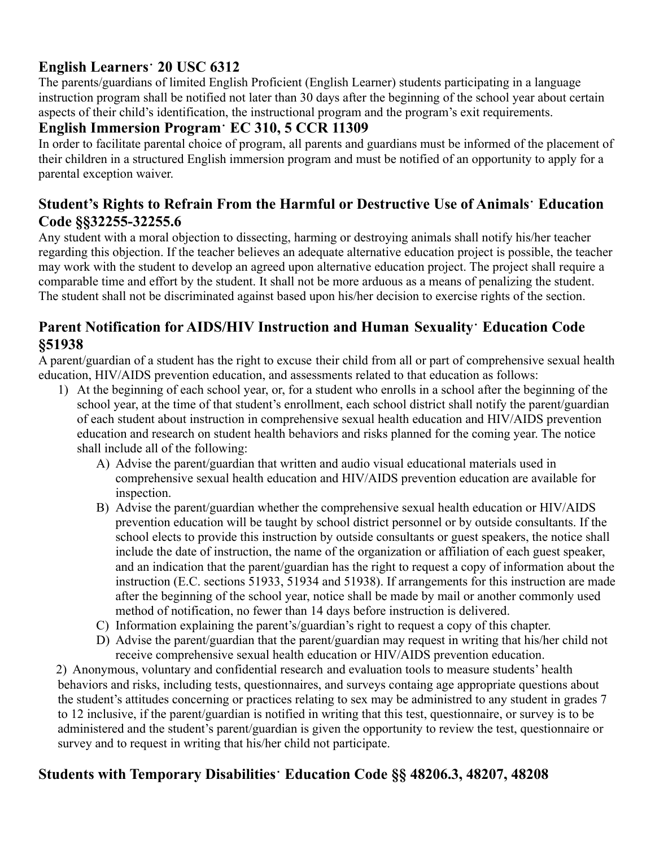# **English Learners**⠂**20 USC 6312**

The parents/guardians of limited English Proficient (English Learner) students participating in a language instruction program shall be notified not later than 30 days after the beginning of the school year about certain aspects of their child's identification, the instructional program and the program's exit requirements.

# **English Immersion Program**⠂**EC 310, 5 CCR 11309**

In order to facilitate parental choice of program, all parents and guardians must be informed of the placement of their children in a structured English immersion program and must be notified of an opportunity to apply for a parental exception waiver.

# **Student's Rights to Refrain From the Harmful or Destructive Use of Animals**⠂**Education Code §§32255-32255.6**

Any student with a moral objection to dissecting, harming or destroying animals shall notify his/her teacher regarding this objection. If the teacher believes an adequate alternative education project is possible, the teacher may work with the student to develop an agreed upon alternative education project. The project shall require a comparable time and effort by the student. It shall not be more arduous as a means of penalizing the student. The student shall not be discriminated against based upon his/her decision to exercise rights of the section.

#### **Parent Notification for AIDS/HIV Instruction and Human Sexuality**⠂**Education Code §51938**

A parent/guardian of a student has the right to excuse their child from all or part of comprehensive sexual health education, HIV/AIDS prevention education, and assessments related to that education as follows:

- 1) At the beginning of each school year, or, for a student who enrolls in a school after the beginning of the school year, at the time of that student's enrollment, each school district shall notify the parent/guardian of each student about instruction in comprehensive sexual health education and HIV/AIDS prevention education and research on student health behaviors and risks planned for the coming year. The notice shall include all of the following:
	- A) Advise the parent/guardian that written and audio visual educational materials used in comprehensive sexual health education and HIV/AIDS prevention education are available for inspection.
	- B) Advise the parent/guardian whether the comprehensive sexual health education or HIV/AIDS prevention education will be taught by school district personnel or by outside consultants. If the school elects to provide this instruction by outside consultants or guest speakers, the notice shall include the date of instruction, the name of the organization or affiliation of each guest speaker, and an indication that the parent/guardian has the right to request a copy of information about the instruction (E.C. sections 51933, 51934 and 51938). If arrangements for this instruction are made after the beginning of the school year, notice shall be made by mail or another commonly used method of notification, no fewer than 14 days before instruction is delivered.
	- C) Information explaining the parent's/guardian's right to request a copy of this chapter.
	- D) Advise the parent/guardian that the parent/guardian may request in writing that his/her child not receive comprehensive sexual health education or HIV/AIDS prevention education.

2) Anonymous, voluntary and confidential research and evaluation tools to measure students' health behaviors and risks, including tests, questionnaires, and surveys containg age appropriate questions about the student's attitudes concerning or practices relating to sex may be administred to any student in grades 7 to 12 inclusive, if the parent/guardian is notified in writing that this test, questionnaire, or survey is to be administered and the student's parent/guardian is given the opportunity to review the test, questionnaire or survey and to request in writing that his/her child not participate.

# **Students with Temporary Disabilities**⠂**Education Code §§ 48206.3, 48207, 48208**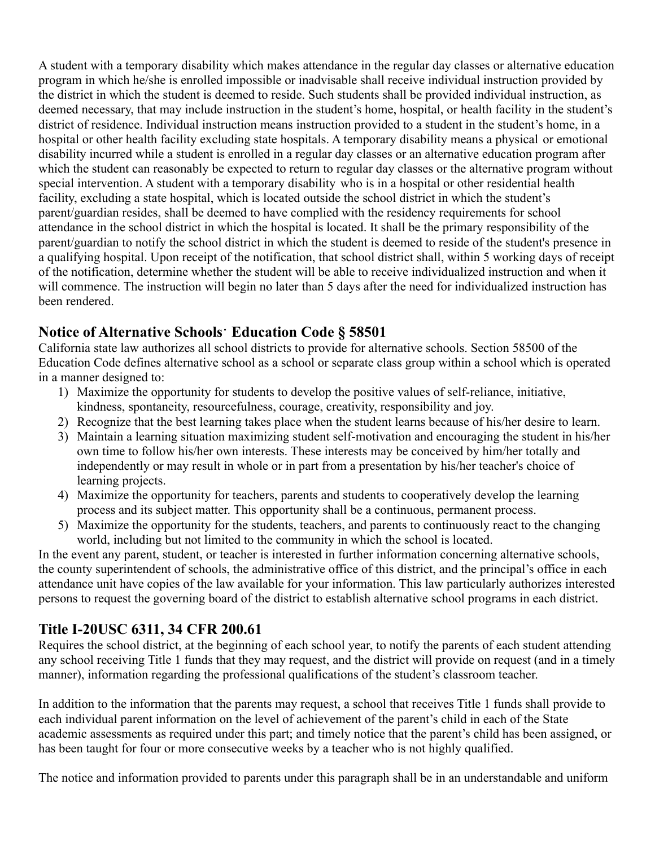A student with a temporary disability which makes attendance in the regular day classes or alternative education program in which he/she is enrolled impossible or inadvisable shall receive individual instruction provided by the district in which the student is deemed to reside. Such students shall be provided individual instruction, as deemed necessary, that may include instruction in the student's home, hospital, or health facility in the student's district of residence. Individual instruction means instruction provided to a student in the student's home, in a hospital or other health facility excluding state hospitals. A temporary disability means a physical or emotional disability incurred while a student is enrolled in a regular day classes or an alternative education program after which the student can reasonably be expected to return to regular day classes or the alternative program without special intervention. A student with a temporary disability who is in a hospital or other residential health facility, excluding a state hospital, which is located outside the school district in which the student's parent/guardian resides, shall be deemed to have complied with the residency requirements for school attendance in the school district in which the hospital is located. It shall be the primary responsibility of the parent/guardian to notify the school district in which the student is deemed to reside of the student's presence in a qualifying hospital. Upon receipt of the notification, that school district shall, within 5 working days of receipt of the notification, determine whether the student will be able to receive individualized instruction and when it will commence. The instruction will begin no later than 5 days after the need for individualized instruction has been rendered.

#### **Notice of Alternative Schools**⠂**Education Code § 58501**

California state law authorizes all school districts to provide for alternative schools. Section 58500 of the Education Code defines alternative school as a school or separate class group within a school which is operated in a manner designed to:

- 1) Maximize the opportunity for students to develop the positive values of self-reliance, initiative, kindness, spontaneity, resourcefulness, courage, creativity, responsibility and joy.
- 2) Recognize that the best learning takes place when the student learns because of his/her desire to learn.
- 3) Maintain a learning situation maximizing student self-motivation and encouraging the student in his/her own time to follow his/her own interests. These interests may be conceived by him/her totally and independently or may result in whole or in part from a presentation by his/her teacher's choice of learning projects.
- 4) Maximize the opportunity for teachers, parents and students to cooperatively develop the learning process and its subject matter. This opportunity shall be a continuous, permanent process.
- 5) Maximize the opportunity for the students, teachers, and parents to continuously react to the changing world, including but not limited to the community in which the school is located.

In the event any parent, student, or teacher is interested in further information concerning alternative schools, the county superintendent of schools, the administrative office of this district, and the principal's office in each attendance unit have copies of the law available for your information. This law particularly authorizes interested persons to request the governing board of the district to establish alternative school programs in each district.

# **Title I-20USC 6311, 34 CFR 200.61**

Requires the school district, at the beginning of each school year, to notify the parents of each student attending any school receiving Title 1 funds that they may request, and the district will provide on request (and in a timely manner), information regarding the professional qualifications of the student's classroom teacher.

In addition to the information that the parents may request, a school that receives Title 1 funds shall provide to each individual parent information on the level of achievement of the parent's child in each of the State academic assessments as required under this part; and timely notice that the parent's child has been assigned, or has been taught for four or more consecutive weeks by a teacher who is not highly qualified.

The notice and information provided to parents under this paragraph shall be in an understandable and uniform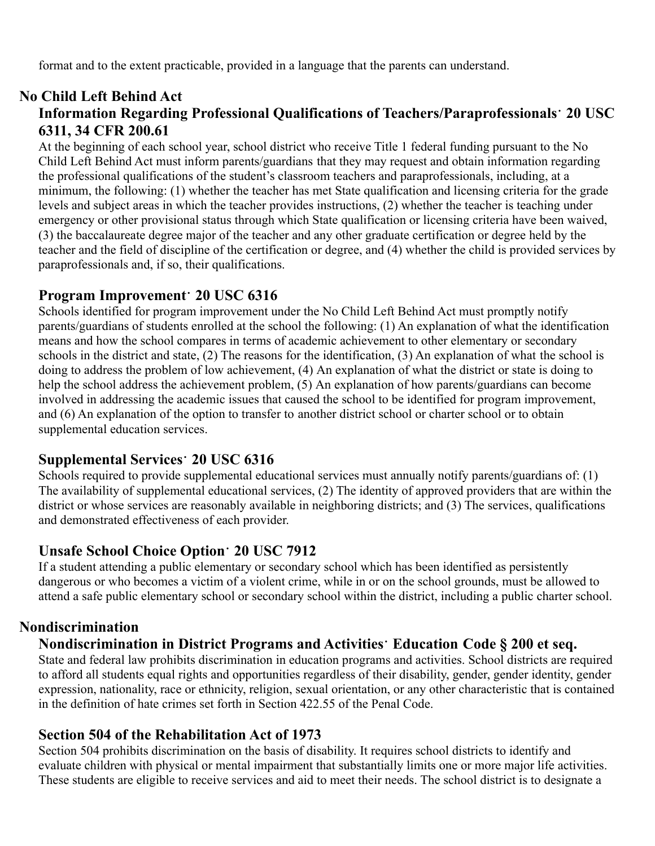format and to the extent practicable, provided in a language that the parents can understand.

#### **No Child Left Behind Act Information Regarding Professional Qualifications of Teachers/Paraprofessionals**⠂**20 USC 6311, 34 CFR 200.61**

At the beginning of each school year, school district who receive Title 1 federal funding pursuant to the No Child Left Behind Act must inform parents/guardians that they may request and obtain information regarding the professional qualifications of the student's classroom teachers and paraprofessionals, including, at a minimum, the following: (1) whether the teacher has met State qualification and licensing criteria for the grade levels and subject areas in which the teacher provides instructions, (2) whether the teacher is teaching under emergency or other provisional status through which State qualification or licensing criteria have been waived, (3) the baccalaureate degree major of the teacher and any other graduate certification or degree held by the teacher and the field of discipline of the certification or degree, and (4) whether the child is provided services by paraprofessionals and, if so, their qualifications.

#### **Program Improvement**⠂**20 USC 6316**

Schools identified for program improvement under the No Child Left Behind Act must promptly notify parents/guardians of students enrolled at the school the following: (1) An explanation of what the identification means and how the school compares in terms of academic achievement to other elementary or secondary schools in the district and state, (2) The reasons for the identification, (3) An explanation of what the school is doing to address the problem of low achievement, (4) An explanation of what the district or state is doing to help the school address the achievement problem, (5) An explanation of how parents/guardians can become involved in addressing the academic issues that caused the school to be identified for program improvement, and (6) An explanation of the option to transfer to another district school or charter school or to obtain supplemental education services.

# **Supplemental Services**⠂**20 USC 6316**

Schools required to provide supplemental educational services must annually notify parents/guardians of: (1) The availability of supplemental educational services, (2) The identity of approved providers that are within the district or whose services are reasonably available in neighboring districts; and (3) The services, qualifications and demonstrated effectiveness of each provider.

#### **Unsafe School Choice Option**⠂**20 USC 7912**

If a student attending a public elementary or secondary school which has been identified as persistently dangerous or who becomes a victim of a violent crime, while in or on the school grounds, must be allowed to attend a safe public elementary school or secondary school within the district, including a public charter school.

# **Nondiscrimination**

# **Nondiscrimination in District Programs and Activities**⠂**Education Code § 200 et seq.**

State and federal law prohibits discrimination in education programs and activities. School districts are required to afford all students equal rights and opportunities regardless of their disability, gender, gender identity, gender expression, nationality, race or ethnicity, religion, sexual orientation, or any other characteristic that is contained in the definition of hate crimes set forth in Section 422.55 of the Penal Code.

#### **Section 504 of the Rehabilitation Act of 1973**

Section 504 prohibits discrimination on the basis of disability. It requires school districts to identify and evaluate children with physical or mental impairment that substantially limits one or more major life activities. These students are eligible to receive services and aid to meet their needs. The school district is to designate a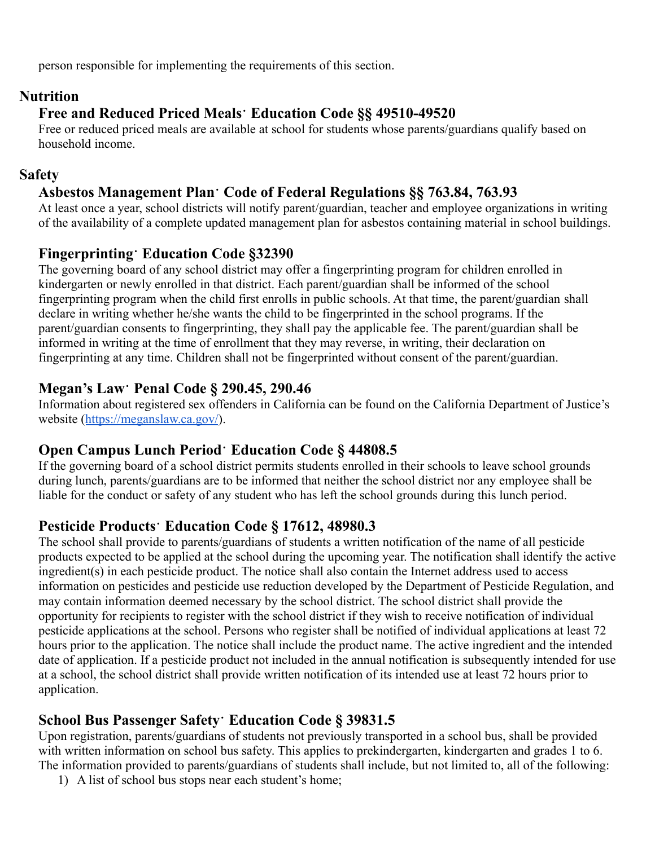person responsible for implementing the requirements of this section.

#### **Nutrition**

# **Free and Reduced Priced Meals**⠂**Education Code §§ 49510-49520**

Free or reduced priced meals are available at school for students whose parents/guardians qualify based on household income.

#### **Safety**

# **Asbestos Management Plan**⠂**Code of Federal Regulations §§ 763.84, 763.93**

At least once a year, school districts will notify parent/guardian, teacher and employee organizations in writing of the availability of a complete updated management plan for asbestos containing material in school buildings.

# **Fingerprinting**⠂**Education Code §32390**

The governing board of any school district may offer a fingerprinting program for children enrolled in kindergarten or newly enrolled in that district. Each parent/guardian shall be informed of the school fingerprinting program when the child first enrolls in public schools. At that time, the parent/guardian shall declare in writing whether he/she wants the child to be fingerprinted in the school programs. If the parent/guardian consents to fingerprinting, they shall pay the applicable fee. The parent/guardian shall be informed in writing at the time of enrollment that they may reverse, in writing, their declaration on fingerprinting at any time. Children shall not be fingerprinted without consent of the parent/guardian.

#### **Megan's Law**⠂**Penal Code § 290.45, 290.46**

Information about registered sex offenders in California can be found on the California Department of Justice's website (<https://meganslaw.ca.gov/>).

#### **Open Campus Lunch Period**⠂**Education Code § 44808.5**

If the governing board of a school district permits students enrolled in their schools to leave school grounds during lunch, parents/guardians are to be informed that neither the school district nor any employee shall be liable for the conduct or safety of any student who has left the school grounds during this lunch period.

# **Pesticide Products**⠂**Education Code § 17612, 48980.3**

The school shall provide to parents/guardians of students a written notification of the name of all pesticide products expected to be applied at the school during the upcoming year. The notification shall identify the active ingredient(s) in each pesticide product. The notice shall also contain the Internet address used to access information on pesticides and pesticide use reduction developed by the Department of Pesticide Regulation, and may contain information deemed necessary by the school district. The school district shall provide the opportunity for recipients to register with the school district if they wish to receive notification of individual pesticide applications at the school. Persons who register shall be notified of individual applications at least 72 hours prior to the application. The notice shall include the product name. The active ingredient and the intended date of application. If a pesticide product not included in the annual notification is subsequently intended for use at a school, the school district shall provide written notification of its intended use at least 72 hours prior to application.

# **School Bus Passenger Safety**⠂**Education Code § 39831.5**

Upon registration, parents/guardians of students not previously transported in a school bus, shall be provided with written information on school bus safety. This applies to prekindergarten, kindergarten and grades 1 to 6. The information provided to parents/guardians of students shall include, but not limited to, all of the following:

1) A list of school bus stops near each student's home;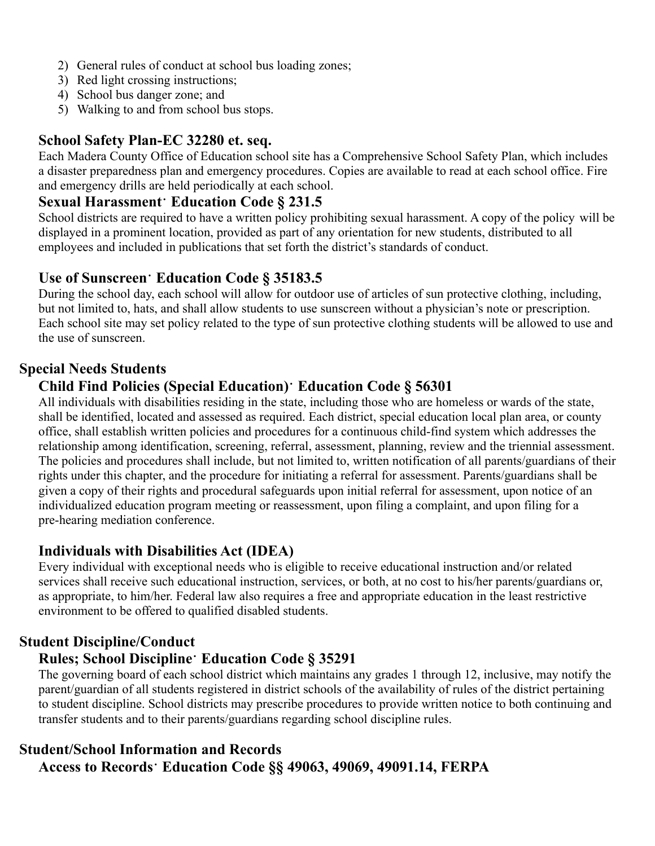- 2) General rules of conduct at school bus loading zones;
- 3) Red light crossing instructions;
- 4) School bus danger zone; and
- 5) Walking to and from school bus stops.

### **School Safety Plan-EC 32280 et. seq.**

Each Madera County Office of Education school site has a Comprehensive School Safety Plan, which includes a disaster preparedness plan and emergency procedures. Copies are available to read at each school office. Fire and emergency drills are held periodically at each school.

#### **Sexual Harassment**⠂**Education Code § 231.5**

School districts are required to have a written policy prohibiting sexual harassment. A copy of the policy will be displayed in a prominent location, provided as part of any orientation for new students, distributed to all employees and included in publications that set forth the district's standards of conduct.

# **Use of Sunscreen**⠂**Education Code § 35183.5**

During the school day, each school will allow for outdoor use of articles of sun protective clothing, including, but not limited to, hats, and shall allow students to use sunscreen without a physician's note or prescription. Each school site may set policy related to the type of sun protective clothing students will be allowed to use and the use of sunscreen.

#### **Special Needs Students**

# **Child Find Policies (Special Education)**⠂**Education Code § 56301**

All individuals with disabilities residing in the state, including those who are homeless or wards of the state, shall be identified, located and assessed as required. Each district, special education local plan area, or county office, shall establish written policies and procedures for a continuous child-find system which addresses the relationship among identification, screening, referral, assessment, planning, review and the triennial assessment. The policies and procedures shall include, but not limited to, written notification of all parents/guardians of their rights under this chapter, and the procedure for initiating a referral for assessment. Parents/guardians shall be given a copy of their rights and procedural safeguards upon initial referral for assessment, upon notice of an individualized education program meeting or reassessment, upon filing a complaint, and upon filing for a pre-hearing mediation conference.

#### **Individuals with Disabilities Act (IDEA)**

Every individual with exceptional needs who is eligible to receive educational instruction and/or related services shall receive such educational instruction, services, or both, at no cost to his/her parents/guardians or, as appropriate, to him/her. Federal law also requires a free and appropriate education in the least restrictive environment to be offered to qualified disabled students.

#### **Student Discipline/Conduct**

#### **Rules; School Discipline**⠂**Education Code § 35291**

The governing board of each school district which maintains any grades 1 through 12, inclusive, may notify the parent/guardian of all students registered in district schools of the availability of rules of the district pertaining to student discipline. School districts may prescribe procedures to provide written notice to both continuing and transfer students and to their parents/guardians regarding school discipline rules.

# **Student/School Information and Records Access to Records**⠂**Education Code §§ 49063, 49069, 49091.14, FERPA**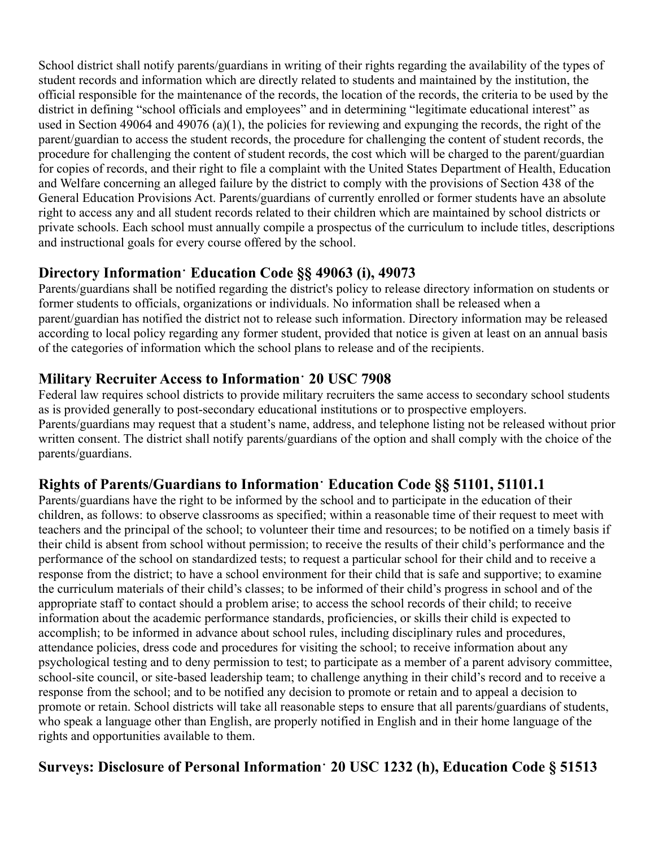School district shall notify parents/guardians in writing of their rights regarding the availability of the types of student records and information which are directly related to students and maintained by the institution, the official responsible for the maintenance of the records, the location of the records, the criteria to be used by the district in defining "school officials and employees" and in determining "legitimate educational interest" as used in Section 49064 and 49076 (a)(1), the policies for reviewing and expunging the records, the right of the parent/guardian to access the student records, the procedure for challenging the content of student records, the procedure for challenging the content of student records, the cost which will be charged to the parent/guardian for copies of records, and their right to file a complaint with the United States Department of Health, Education and Welfare concerning an alleged failure by the district to comply with the provisions of Section 438 of the General Education Provisions Act. Parents/guardians of currently enrolled or former students have an absolute right to access any and all student records related to their children which are maintained by school districts or private schools. Each school must annually compile a prospectus of the curriculum to include titles, descriptions and instructional goals for every course offered by the school.

#### **Directory Information**⠂**Education Code §§ 49063 (i), 49073**

Parents/guardians shall be notified regarding the district's policy to release directory information on students or former students to officials, organizations or individuals. No information shall be released when a parent/guardian has notified the district not to release such information. Directory information may be released according to local policy regarding any former student, provided that notice is given at least on an annual basis of the categories of information which the school plans to release and of the recipients.

#### **Military Recruiter Access to Information**⠂**20 USC 7908**

Federal law requires school districts to provide military recruiters the same access to secondary school students as is provided generally to post-secondary educational institutions or to prospective employers. Parents/guardians may request that a student's name, address, and telephone listing not be released without prior written consent. The district shall notify parents/guardians of the option and shall comply with the choice of the parents/guardians.

#### **Rights of Parents/Guardians to Information**⠂**Education Code §§ 51101, 51101.1**

Parents/guardians have the right to be informed by the school and to participate in the education of their children, as follows: to observe classrooms as specified; within a reasonable time of their request to meet with teachers and the principal of the school; to volunteer their time and resources; to be notified on a timely basis if their child is absent from school without permission; to receive the results of their child's performance and the performance of the school on standardized tests; to request a particular school for their child and to receive a response from the district; to have a school environment for their child that is safe and supportive; to examine the curriculum materials of their child's classes; to be informed of their child's progress in school and of the appropriate staff to contact should a problem arise; to access the school records of their child; to receive information about the academic performance standards, proficiencies, or skills their child is expected to accomplish; to be informed in advance about school rules, including disciplinary rules and procedures, attendance policies, dress code and procedures for visiting the school; to receive information about any psychological testing and to deny permission to test; to participate as a member of a parent advisory committee, school-site council, or site-based leadership team; to challenge anything in their child's record and to receive a response from the school; and to be notified any decision to promote or retain and to appeal a decision to promote or retain. School districts will take all reasonable steps to ensure that all parents/guardians of students, who speak a language other than English, are properly notified in English and in their home language of the rights and opportunities available to them.

# **Surveys: Disclosure of Personal Information**⠂**20 USC 1232 (h), Education Code § 51513**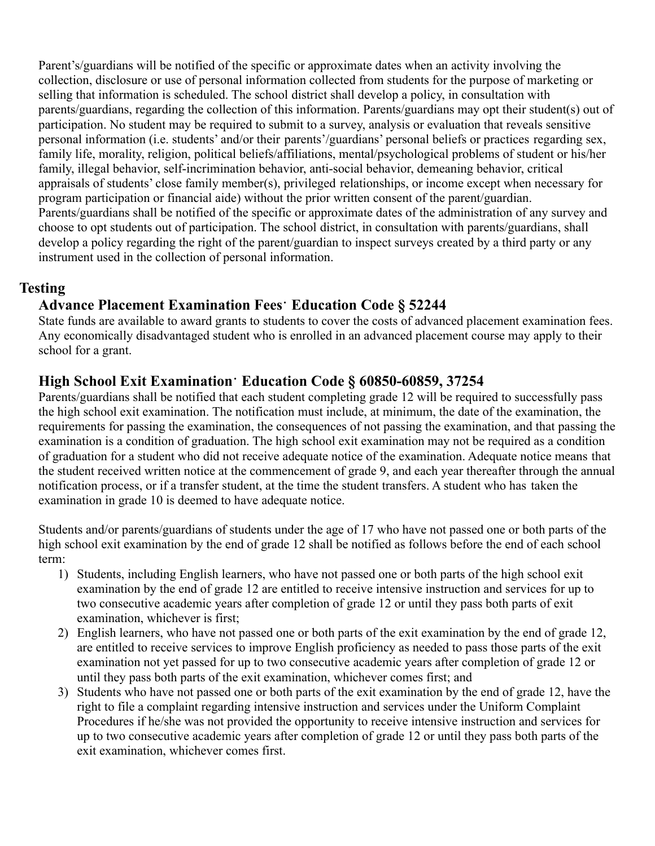Parent's/guardians will be notified of the specific or approximate dates when an activity involving the collection, disclosure or use of personal information collected from students for the purpose of marketing or selling that information is scheduled. The school district shall develop a policy, in consultation with parents/guardians, regarding the collection of this information. Parents/guardians may opt their student(s) out of participation. No student may be required to submit to a survey, analysis or evaluation that reveals sensitive personal information (i.e. students' and/or their parents'/guardians' personal beliefs or practices regarding sex, family life, morality, religion, political beliefs/affiliations, mental/psychological problems of student or his/her family, illegal behavior, self-incrimination behavior, anti-social behavior, demeaning behavior, critical appraisals of students' close family member(s), privileged relationships, or income except when necessary for program participation or financial aide) without the prior written consent of the parent/guardian. Parents/guardians shall be notified of the specific or approximate dates of the administration of any survey and choose to opt students out of participation. The school district, in consultation with parents/guardians, shall develop a policy regarding the right of the parent/guardian to inspect surveys created by a third party or any instrument used in the collection of personal information.

#### **Testing**

#### **Advance Placement Examination Fees**⠂**Education Code § 52244**

State funds are available to award grants to students to cover the costs of advanced placement examination fees. Any economically disadvantaged student who is enrolled in an advanced placement course may apply to their school for a grant.

#### **High School Exit Examination**⠂**Education Code § 60850-60859, 37254**

Parents/guardians shall be notified that each student completing grade 12 will be required to successfully pass the high school exit examination. The notification must include, at minimum, the date of the examination, the requirements for passing the examination, the consequences of not passing the examination, and that passing the examination is a condition of graduation. The high school exit examination may not be required as a condition of graduation for a student who did not receive adequate notice of the examination. Adequate notice means that the student received written notice at the commencement of grade 9, and each year thereafter through the annual notification process, or if a transfer student, at the time the student transfers. A student who has taken the examination in grade 10 is deemed to have adequate notice.

Students and/or parents/guardians of students under the age of 17 who have not passed one or both parts of the high school exit examination by the end of grade 12 shall be notified as follows before the end of each school term:

- 1) Students, including English learners, who have not passed one or both parts of the high school exit examination by the end of grade 12 are entitled to receive intensive instruction and services for up to two consecutive academic years after completion of grade 12 or until they pass both parts of exit examination, whichever is first;
- 2) English learners, who have not passed one or both parts of the exit examination by the end of grade 12, are entitled to receive services to improve English proficiency as needed to pass those parts of the exit examination not yet passed for up to two consecutive academic years after completion of grade 12 or until they pass both parts of the exit examination, whichever comes first; and
- 3) Students who have not passed one or both parts of the exit examination by the end of grade 12, have the right to file a complaint regarding intensive instruction and services under the Uniform Complaint Procedures if he/she was not provided the opportunity to receive intensive instruction and services for up to two consecutive academic years after completion of grade 12 or until they pass both parts of the exit examination, whichever comes first.